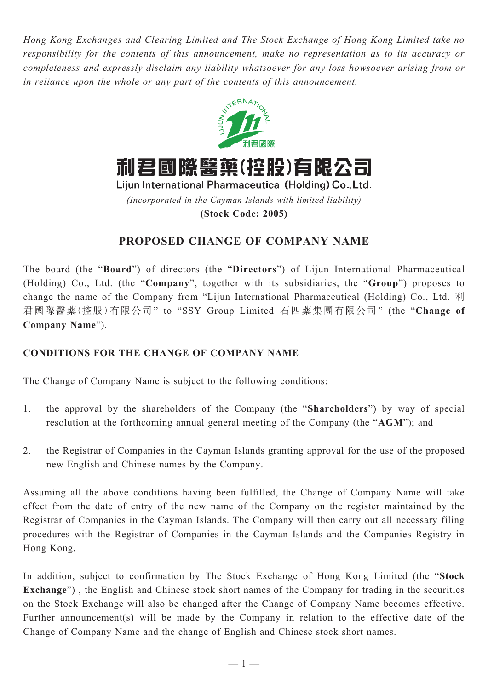*Hong Kong Exchanges and Clearing Limited and The Stock Exchange of Hong Kong Limited take no responsibility for the contents of this announcement, make no representation as to its accuracy or completeness and expressly disclaim any liability whatsoever for any loss howsoever arising from or in reliance upon the whole or any part of the contents of this announcement.*



利君國際醫藥(控股)有限公司

Lijun International Pharmaceutical (Holding) Co., Ltd. *(Incorporated in the Cayman Islands with limited liability)* **(Stock Code: 2005)**

# **PROPOSED CHANGE OF COMPANY NAME**

The board (the "**Board**") of directors (the "**Directors**") of Lijun International Pharmaceutical (Holding) Co., Ltd. (the "**Company**", together with its subsidiaries, the "**Group**") proposes to change the name of the Company from "Lijun International Pharmaceutical (Holding) Co., Ltd. 利 君國際醫藥(控股)有限公司" to "SSY Group Limited 石四藥集團有限公司" (the "**Change of Company Name**").

## **CONDITIONS FOR THE CHANGE OF COMPANY NAME**

The Change of Company Name is subject to the following conditions:

- 1. the approval by the shareholders of the Company (the "**Shareholders**") by way of special resolution at the forthcoming annual general meeting of the Company (the "**AGM**"); and
- 2. the Registrar of Companies in the Cayman Islands granting approval for the use of the proposed new English and Chinese names by the Company.

Assuming all the above conditions having been fulfilled, the Change of Company Name will take effect from the date of entry of the new name of the Company on the register maintained by the Registrar of Companies in the Cayman Islands. The Company will then carry out all necessary filing procedures with the Registrar of Companies in the Cayman Islands and the Companies Registry in Hong Kong.

In addition, subject to confirmation by The Stock Exchange of Hong Kong Limited (the "**Stock Exchange**") , the English and Chinese stock short names of the Company for trading in the securities on the Stock Exchange will also be changed after the Change of Company Name becomes effective. Further announcement(s) will be made by the Company in relation to the effective date of the Change of Company Name and the change of English and Chinese stock short names.